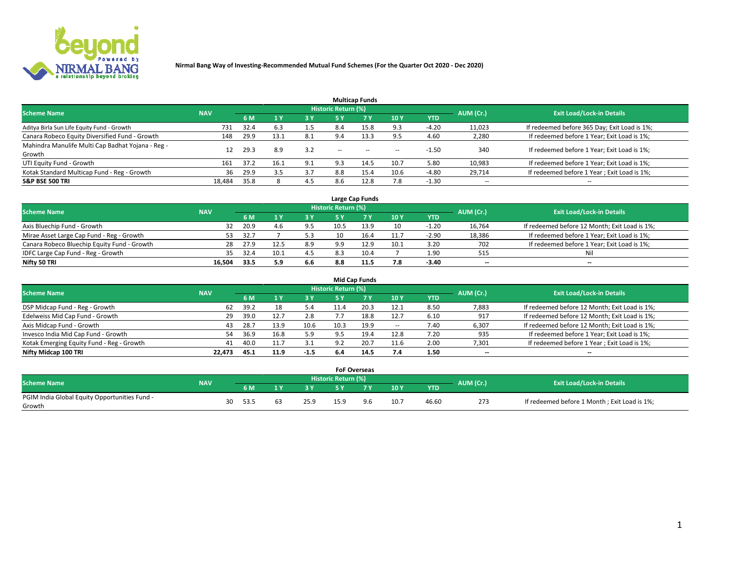

|                                                   |            |      |       |     |                            | <b>Multicap Funds</b> |       |            |                          |                                              |
|---------------------------------------------------|------------|------|-------|-----|----------------------------|-----------------------|-------|------------|--------------------------|----------------------------------------------|
| <b>Scheme Name</b>                                | <b>NAV</b> |      |       |     | <b>Historic Return (%)</b> |                       |       |            | AUM (Cr.)                | <b>Exit Load/Lock-in Details</b>             |
|                                                   |            | 6 M  | $A$ Y | 3 Y | 5 Y                        | 7 <sub>V</sub>        | 10Y   | <b>YTD</b> |                          |                                              |
| Aditya Birla Sun Life Equity Fund - Growth        | 731        | 32.4 | 6.3   | 1.5 | 8.4                        | 15.8                  | 9.3   | $-4.20$    | 11,023                   | If redeemed before 365 Day; Exit Load is 1%; |
| Canara Robeco Equity Diversified Fund - Growth    | 148        | 29.9 | 13.1  | 8.1 | 9.4                        | 13.3                  | 9.5   | 4.60       | 2,280                    | If redeemed before 1 Year; Exit Load is 1%;  |
| Mahindra Manulife Multi Cap Badhat Yojana - Reg - | 12         | 29.3 | 8.9   | 3.2 | $\sim$                     |                       |       | $-1.50$    | 340                      | If redeemed before 1 Year; Exit Load is 1%;  |
| Growth                                            |            |      |       |     |                            | $- -$                 | $- -$ |            |                          |                                              |
| UTI Equity Fund - Growth                          | 161        | 37.2 | 16.1  | 9.1 | 9.3                        | 14.5                  | 10.7  | 5.80       | 10,983                   | If redeemed before 1 Year; Exit Load is 1%;  |
| Kotak Standard Multicap Fund - Reg - Growth       | 36         | 29.9 | 3.5   | 3.7 | 8.8                        | 15.4                  | 10.6  | $-4.80$    | 29,714                   | If redeemed before 1 Year; Exit Load is 1%;  |
| <b>S&amp;P BSE 500 TRI</b>                        | 18.484     | 35.8 |       | 4.5 | 8.6                        | 12.8                  | 7.8   | $-1.30$    | $\overline{\phantom{a}}$ | $-$                                          |

|                                             |            |      |     |     |                     | Large Cap Funds |      |            |           |                                               |
|---------------------------------------------|------------|------|-----|-----|---------------------|-----------------|------|------------|-----------|-----------------------------------------------|
| <b>Scheme Name</b>                          | <b>NAV</b> |      |     |     | Historic Return (%) |                 |      |            | AUM (Cr.) | <b>Exit Load/Lock-in Details</b>              |
|                                             |            | 6 M  |     | 3 Y | 5 ٧                 |                 | 10Y  | <b>YTD</b> |           |                                               |
| Axis Bluechip Fund - Growth                 | 32         | 20.9 | 4 h | 9.5 | 10.5                | 13.9            | 10   | $-1.20$    | 16,764    | If redeemed before 12 Month; Exit Load is 1%; |
| Mirae Asset Large Cap Fund - Reg - Growth   | 53         | 32.7 |     |     |                     |                 | 11.7 | $-2.90$    | 18,386    | If redeemed before 1 Year; Exit Load is 1%;   |
| Canara Robeco Bluechip Equity Fund - Growth | 28         | 27.9 |     | 8.9 | 9.9                 | 12.9            | 10.1 | 3.20       | 702       | If redeemed before 1 Year; Exit Load is 1%;   |
| IDFC Large Cap Fund - Reg - Growth          | 35         | 32.4 |     | 4.5 | 8.3                 | 10.4            |      | 1.90       | 515       | Nil                                           |
| Nifty 50 TRI                                | 16.504     | 33.5 | 5.9 | 6.6 | 8.8                 |                 | 7.8  | -3.40      | $- -$     | $- -$                                         |

|                                           |            |      |      |        |                            | Mid Cap Funds |                          |            |                          |                                               |
|-------------------------------------------|------------|------|------|--------|----------------------------|---------------|--------------------------|------------|--------------------------|-----------------------------------------------|
| <b>Scheme Name</b>                        | <b>NAV</b> |      |      |        | <b>Historic Return (%)</b> |               |                          |            | AUM (Cr.)                | <b>Exit Load/Lock-in Details</b>              |
|                                           |            | 6 M  |      | 3 Y    | 5 Y                        |               | 10 Y                     | <b>YTD</b> |                          |                                               |
| DSP Midcap Fund - Reg - Growth            | 62         | 39.2 | 18   | 5.4    |                            | 20.3          | 12.1                     | 8.50       | 7,883                    | If redeemed before 12 Month; Exit Load is 1%; |
| Edelweiss Mid Cap Fund - Growth           | 29         | 39.0 | 12.1 | 2.8    |                            | 18.8          | 12.7                     | 6.10       | 917                      | If redeemed before 12 Month; Exit Load is 1%; |
| Axis Midcap Fund - Growth                 | 43         | 28.7 | 13.9 | 10.6   | 10.3                       | 19.9          | $\hspace{0.05cm} \ldots$ | 7.40       | 6,307                    | If redeemed before 12 Month; Exit Load is 1%; |
| Invesco India Mid Cap Fund - Growth       | 54         | 36.9 | 16.8 | 5.9    |                            | 19.4          | 12.8                     | 7.20       | 935                      | If redeemed before 1 Year; Exit Load is 1%;   |
| Kotak Emerging Equity Fund - Reg - Growth | 41         | 40.0 | 11.7 | 3.1    | 9.2                        | 20.7          | 11.6                     | 2.00       | 7,301                    | If redeemed before 1 Year; Exit Load is 1%;   |
| Nifty Midcap 100 TRI                      | 22.473     | 45.1 | 11.9 | $-1.5$ | 6.4                        | 14.5          | 7.4                      | 1.50       | $\overline{\phantom{a}}$ | $\hspace{0.05cm}$                             |

|                                               |            |      |    |      |                     | <b>FoF Overseas</b> |      |            |           |                                              |
|-----------------------------------------------|------------|------|----|------|---------------------|---------------------|------|------------|-----------|----------------------------------------------|
| <b>Scheme Name</b>                            | <b>NAV</b> |      |    |      | Historic Return (%) |                     |      |            | AUM (Cr.) | <b>Exit Load/Lock-in Details</b>             |
|                                               |            | 6 M  |    |      | <b>EV</b>           | 7 <sub>2</sub>      | 10Y  | <b>YTD</b> |           |                                              |
| PGIM India Global Equity Opportunities Fund - |            | 30   |    |      |                     | 9 R                 |      |            |           |                                              |
| Growth                                        |            | 53.5 | b3 | 25.9 | 15.9                |                     | 10.7 | 46.60      | 273       | If redeemed before 1 Month; Exit Load is 1%; |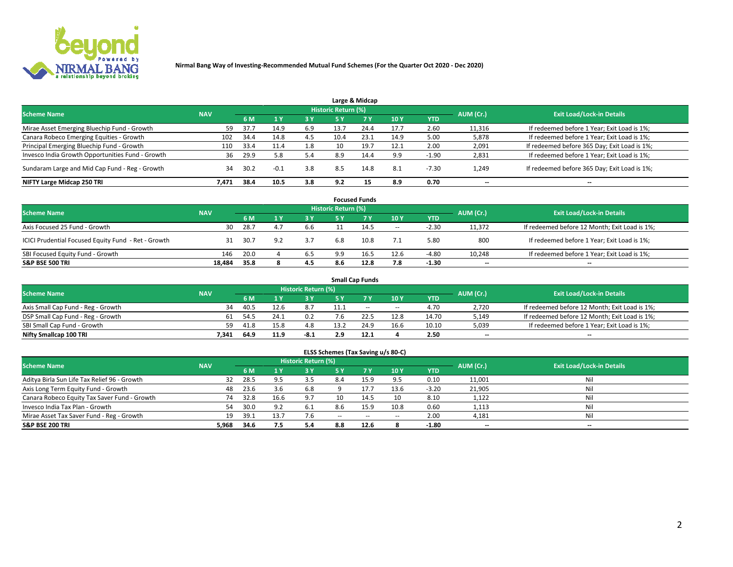

|                                                  |            |      |        |     |                            | Large & Midcap |      |            |                          |                                              |
|--------------------------------------------------|------------|------|--------|-----|----------------------------|----------------|------|------------|--------------------------|----------------------------------------------|
| <b>Scheme Name</b>                               | <b>NAV</b> |      |        |     | <b>Historic Return (%)</b> |                |      |            | AUM (Cr.)                | <b>Exit Load/Lock-in Details</b>             |
|                                                  |            | 6 M  |        | 3 Y | <b>5 Y</b>                 | 7Y             | 10Y  | <b>YTD</b> |                          |                                              |
| Mirae Asset Emerging Bluechip Fund - Growth      | 59         | 37.7 | 14.9   | 6.9 | 13.7                       | 24.4           | 17.7 | 2.60       | 11,316                   | If redeemed before 1 Year; Exit Load is 1%;  |
| Canara Robeco Emerging Equities - Growth         | 102        | 34.4 | 14.8   | 4.5 | 10.4                       | 23.1           | 14.9 | 5.00       | 5,878                    | If redeemed before 1 Year; Exit Load is 1%;  |
| Principal Emerging Bluechip Fund - Growth        | 110        | 33.4 | 11.4   | 1.8 | 10                         | 19.7           | 12.1 | 2.00       | 2,091                    | If redeemed before 365 Day; Exit Load is 1%; |
| Invesco India Growth Opportunities Fund - Growth | 36         | 29.9 | 5.8    | 5.4 | 8.9                        | 14.4           | 9.9  | $-1.90$    | 2,831                    | If redeemed before 1 Year; Exit Load is 1%;  |
| Sundaram Large and Mid Cap Fund - Reg - Growth   | 34         | 30.2 | $-0.1$ | 3.8 | 8.5                        | 14.8           | 8.1  | $-7.30$    | 1,249                    | If redeemed before 365 Day; Exit Load is 1%; |
| NIFTY Large Midcap 250 TRI                       | 7.471      | 38.4 | 10.5   | 3.8 | 9.2                        | 15             | 8.9  | 0.70       | $\overline{\phantom{a}}$ | --                                           |

|                                                     |            |      |     |       |                            | <b>Focused Funds</b> |       |            |                          |                                               |
|-----------------------------------------------------|------------|------|-----|-------|----------------------------|----------------------|-------|------------|--------------------------|-----------------------------------------------|
| <b>Scheme Name</b>                                  | <b>NAV</b> |      |     |       | <b>Historic Return (%)</b> |                      |       |            | AUM (Cr.)                | <b>Exit Load/Lock-in Details</b>              |
|                                                     |            | 6 M  |     | 73 Y. | 5 Y                        | <b>7Y</b>            | 10 Y  | <b>YTD</b> |                          |                                               |
| Axis Focused 25 Fund - Growth                       | 30         | 28.7 | 4.7 | 6.6   |                            | 14.5                 | $\!-$ | $-2.30$    | 11.372                   | If redeemed before 12 Month; Exit Load is 1%; |
| ICICI Prudential Focused Equity Fund - Ret - Growth | 31         | 30.7 | 9.2 | 3.7   | 6.8                        | 10.8                 | 7.1   | 5.80       | 800                      | If redeemed before 1 Year; Exit Load is 1%;   |
| SBI Focused Equity Fund - Growth                    | 146        | 20.0 |     | 6.5   | 9.9                        | 16.5                 | 12.6  | $-4.80$    | 10,248                   | If redeemed before 1 Year; Exit Load is 1%;   |
| <b>S&amp;P BSE 500 TRI</b>                          | 18.484     | 35.8 | 8   | 4.5   | 8.6                        | 12.8                 | 7.8   | $-1.30$    | $\overline{\phantom{m}}$ | $- -$                                         |

|                                    |            |      |      |                     |      | <b>Small Cap Funds</b> |                          |       |                          |                                               |
|------------------------------------|------------|------|------|---------------------|------|------------------------|--------------------------|-------|--------------------------|-----------------------------------------------|
| <b>Scheme Name</b>                 | <b>NAV</b> |      |      | Historic Return (%) |      |                        |                          |       | AUM (Cr.)                | <b>Exit Load/Lock-in Details</b>              |
|                                    |            | 6 M  |      | 3 Y.                | гν   |                        | 10Y                      | YTD   |                          |                                               |
| Axis Small Cap Fund - Reg - Growth | 34         | 40.5 | 12.6 | 8.7                 | 11.7 | $- -$                  | $\overline{\phantom{a}}$ | 4.70  | 2,720                    | If redeemed before 12 Month; Exit Load is 1%; |
| DSP Small Cap Fund - Reg - Growth  | 61         | 54.5 | 24.1 |                     |      |                        | 12.8                     | 14.70 | 5,149                    | If redeemed before 12 Month; Exit Load is 1%; |
| SBI Small Cap Fund - Growth        | 59         |      | 15.8 | 4.8                 |      | 24.9                   | 16.6                     | 10.10 | 5,039                    | If redeemed before 1 Year; Exit Load is 1%;   |
| Nifty Smallcap 100 TRI             | 7.341      | 64.9 | 11.9 | $-8.1$              |      | 12.1                   |                          | 2.50  | $\overline{\phantom{a}}$ | $\overline{\phantom{a}}$                      |

| <b>Scheme Name</b>                           | <b>NAV</b> |      |      | <b>Historic Return (%)</b> |        |        |        |            | AUM (Cr.)                | <b>Exit Load/Lock-in Details</b> |
|----------------------------------------------|------------|------|------|----------------------------|--------|--------|--------|------------|--------------------------|----------------------------------|
|                                              |            | 6 M  |      | 3 Y                        | 5 Y    |        | 10Y    | <b>YTD</b> |                          |                                  |
| Aditya Birla Sun Life Tax Relief 96 - Growth | 32         | 28.5 | 95   | 3.5                        | 8.4    | 15.9   | 9.5    | 0.10       | 11,001                   | Nil                              |
| Axis Long Term Equity Fund - Growth          | 48         | 23.6 | 3.6  | 6.8                        |        | 17.7   | 13.6   | $-3.20$    | 21,905                   | Nil                              |
| Canara Robeco Equity Tax Saver Fund - Growth | 74         | 32.8 | 16.6 | 9.7                        |        | 14.5   | 10     | 8.10       | 1,122                    | Nil                              |
| Invesco India Tax Plan - Growth              | 54         | 30.0 | 9.2  | 6.1                        | 8.6    | 15.9   | 10.8   | 0.60       | 1,113                    | Nil                              |
| Mirae Asset Tax Saver Fund - Reg - Growth    | 19         | 39.1 | 13.7 | 7.6                        | $\sim$ | $\sim$ | $\sim$ | 2.00       | 4,181                    | Nil                              |
| S&P BSE 200 TRI                              | 5,968      | 34.6 | 7.5  | 5.4                        |        | 12.6   |        | $-1.80$    | $\overline{\phantom{a}}$ | $\overline{\phantom{a}}$         |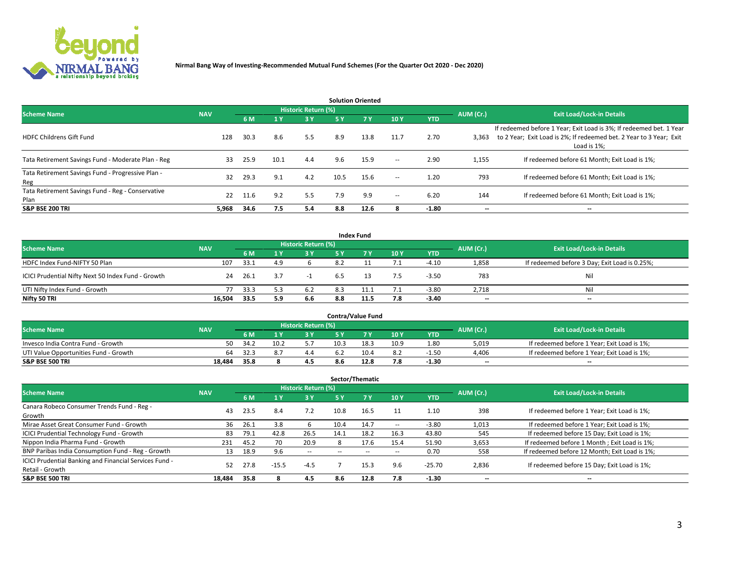

| <b>Solution Oriented</b>                                  |            |      |                       |                     |      |            |                          |            |                          |                                                                                                                                                           |  |  |  |
|-----------------------------------------------------------|------------|------|-----------------------|---------------------|------|------------|--------------------------|------------|--------------------------|-----------------------------------------------------------------------------------------------------------------------------------------------------------|--|--|--|
| <b>Scheme Name</b>                                        | <b>NAV</b> |      |                       | Historic Return (%) |      |            |                          |            | AUM (Cr.)                | <b>Exit Load/Lock-in Details</b>                                                                                                                          |  |  |  |
|                                                           |            | 6 M  | $\sqrt{1}$ $\sqrt{7}$ | 3 Y                 | 5 Y  | <b>7 Y</b> | 10Y                      | <b>YTD</b> |                          |                                                                                                                                                           |  |  |  |
| <b>HDFC Childrens Gift Fund</b>                           | 128        | 30.3 | 8.6                   | 5.5                 | 8.9  | 13.8       | 11.7                     | 2.70       | 3,363                    | If redeemed before 1 Year; Exit Load is 3%; If redeemed bet. 1 Year<br>to 2 Year; Exit Load is 2%; If redeemed bet. 2 Year to 3 Year; Exit<br>Load is 1%; |  |  |  |
| Tata Retirement Savings Fund - Moderate Plan - Reg        | 33         | 25.9 | 10.1                  | 4.4                 | 9.6  | 15.9       | $\overline{\phantom{a}}$ | 2.90       | 1,155                    | If redeemed before 61 Month; Exit Load is 1%;                                                                                                             |  |  |  |
| Tata Retirement Savings Fund - Progressive Plan -<br>Reg  | 32         | 29.3 | 9.1                   | 4.2                 | 10.5 | 15.6       | $\overline{\phantom{a}}$ | 1.20       | 793                      | If redeemed before 61 Month: Exit Load is 1%:                                                                                                             |  |  |  |
| Tata Retirement Savings Fund - Reg - Conservative<br>Plan | 22         | 11.6 | 9.2                   | 5.5                 | 7.9  | 9.9        | $\overline{\phantom{a}}$ | 6.20       | 144                      | If redeemed before 61 Month; Exit Load is 1%;                                                                                                             |  |  |  |
| <b>S&amp;P BSE 200 TRI</b>                                | 5.968      | 34.6 | 7.5                   | 5.4                 | 8.8  | 12.6       |                          | $-1.80$    | $\overline{\phantom{a}}$ | $\overline{\phantom{a}}$                                                                                                                                  |  |  |  |

|                                                    |            |      |     |                            |     | <b>Index Fund</b> |     |            |           |                                               |
|----------------------------------------------------|------------|------|-----|----------------------------|-----|-------------------|-----|------------|-----------|-----------------------------------------------|
| <b>Scheme Name</b>                                 | <b>NAV</b> |      |     | <b>Historic Return (%)</b> |     |                   |     |            | AUM (Cr.) | <b>Exit Load/Lock-in Details</b>              |
|                                                    |            | 6 M  |     | <b>3Y</b>                  | 5 Y | 7v                | 10Y | <b>YTD</b> |           |                                               |
| HDFC Index Fund-NIFTY 50 Plan                      | 107        | 33.1 | 4.9 |                            | 8.2 |                   | 7.1 | $-4.10$    | 1,858     | If redeemed before 3 Day; Exit Load is 0.25%; |
| ICICI Prudential Nifty Next 50 Index Fund - Growth | 24         | 26.1 | 3.7 |                            | 6.5 |                   | 7.5 | $-3.50$    | 783       | Nil                                           |
| UTI Nifty Index Fund - Growth                      | 77         | 33.3 | 5.3 | 6.2                        | 8.3 | 11.1              | 7.1 | $-3.80$    | 2,718     | Nil                                           |
| Nifty 50 TRI                                       | 16,504     | 33.5 | 5.9 | 6.6                        | 8.8 | 11.5              | 7.8 | $-3.40$    | $- -$     | $-$                                           |

| <b>Contra/Value Fund</b>              |            |       |      |                     |      |      |      |            |           |                                             |  |  |
|---------------------------------------|------------|-------|------|---------------------|------|------|------|------------|-----------|---------------------------------------------|--|--|
| <b>Scheme Name</b>                    | <b>NAV</b> |       |      | Historic Return (%) |      |      |      |            | AUM (Cr.) | <b>Exit Load/Lock-in Details</b>            |  |  |
|                                       |            | 6 M   |      | <b>3V</b>           |      | 7 V  | 10Y  | <b>YTD</b> |           |                                             |  |  |
| Invesco India Contra Fund - Growth    | 50         | -34.2 | 10.2 |                     | 10.3 | 18.3 | 10.9 | 1.80       | 5,019     | If redeemed before 1 Year; Exit Load is 1%; |  |  |
| UTI Value Opportunities Fund - Growth | 64         | 32.3  |      | 4.4                 |      | 10.4 | 8.2  | $-1.50$    | 4,406     | If redeemed before 1 Year; Exit Load is 1%; |  |  |
| <b>S&amp;P BSE 500 TRI</b>            | 18.484     | 35.8  |      | 4.5                 | 8.b  | 12.8 | 7.8  | $-1.30$    | $-$       | $-$                                         |  |  |

|                                                        |            |      |                |                     |                          | Sector/Thematic |                          |            |           |                                               |
|--------------------------------------------------------|------------|------|----------------|---------------------|--------------------------|-----------------|--------------------------|------------|-----------|-----------------------------------------------|
| <b>Scheme Name</b>                                     | <b>NAV</b> |      |                | Historic Return (%) |                          |                 |                          |            | AUM (Cr.) | <b>Exit Load/Lock-in Details</b>              |
|                                                        |            | 6 M  | 1 <sub>Y</sub> | 3 Y                 | 5 Y                      | 7 Y             | 10Y                      | <b>YTD</b> |           |                                               |
| Canara Robeco Consumer Trends Fund - Reg -             |            | 23.5 | 8.4            |                     |                          |                 |                          | 1.10       | 398       |                                               |
| Growth                                                 | 43         |      |                | 7.2                 | 10.8                     | 16.5            | 11                       |            |           | If redeemed before 1 Year; Exit Load is 1%;   |
| Mirae Asset Great Consumer Fund - Growth               | 36         | 26.1 | 3.8            |                     | 10.4                     | 14.7            | $\!-$                    | $-3.80$    | 1,013     | If redeemed before 1 Year; Exit Load is 1%;   |
| <b>ICICI Prudential Technology Fund - Growth</b>       | 83         | 79.1 | 42.8           | 26.5                | 14.1                     | 18.2            | 16.3                     | 43.80      | 545       | If redeemed before 15 Day; Exit Load is 1%;   |
| Nippon India Pharma Fund - Growth                      | 231        | 45.2 | 70             | 20.9                |                          | 17.6            | 15.4                     | 51.90      | 3,653     | If redeemed before 1 Month; Exit Load is 1%;  |
| BNP Paribas India Consumption Fund - Reg - Growth      | 13         | 18.9 | 9.6            | $\sim$              | $\overline{\phantom{a}}$ | $\sim$          | $\overline{\phantom{a}}$ | 0.70       | 558       | If redeemed before 12 Month; Exit Load is 1%; |
| ICICI Prudential Banking and Financial Services Fund - | 52         | 27.8 |                |                     |                          | 15.3            | 9.6                      | $-25.70$   |           |                                               |
| Retail - Growth                                        |            |      | $-15.5$        | $-4.5$              |                          |                 |                          |            | 2,836     | If redeemed before 15 Day; Exit Load is 1%;   |
| <b>S&amp;P BSE 500 TRI</b>                             | 18.484     | 35.8 |                | 4.5                 | 8.6                      | 12.8            | 7.8                      | $-1.30$    | --        | $- -$                                         |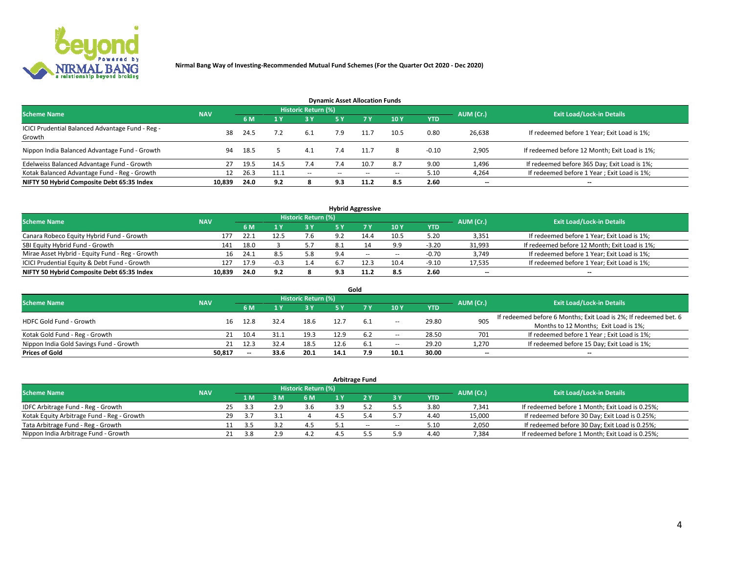

| <b>Dynamic Asset Allocation Funds</b>                      |            |      |      |                     |               |           |       |            |           |                                               |  |  |  |  |
|------------------------------------------------------------|------------|------|------|---------------------|---------------|-----------|-------|------------|-----------|-----------------------------------------------|--|--|--|--|
| <b>Scheme Name</b>                                         | <b>NAV</b> |      |      | Historic Return (%) |               |           |       |            | AUM (Cr.) | <b>Exit Load/Lock-in Details</b>              |  |  |  |  |
|                                                            |            | 6 M  |      | 3 Y                 | <b>5Y</b>     | <b>7Y</b> | 10Y   | <b>YTD</b> |           |                                               |  |  |  |  |
| ICICI Prudential Balanced Advantage Fund - Reg -<br>Growth | 38         | 24.5 |      | 6.1                 | 7.9           |           | 10.5  | 0.80       | 26,638    | If redeemed before 1 Year; Exit Load is 1%;   |  |  |  |  |
| Nippon India Balanced Advantage Fund - Growth              | 94         | 18.5 |      | 4.1                 | 7.4           | 11.7      | 8     | $-0.10$    | 2,905     | If redeemed before 12 Month; Exit Load is 1%; |  |  |  |  |
| Edelweiss Balanced Advantage Fund - Growth                 | 27         | 19.5 | 14.5 | 7.4                 |               | 10.7      | 8.7   | 9.00       | 1,496     | If redeemed before 365 Day; Exit Load is 1%;  |  |  |  |  |
| Kotak Balanced Advantage Fund - Reg - Growth               | 12         | 26.3 | 11.1 | $\sim$              | $\sim$ $\sim$ | $-$       | $- -$ | 5.10       | 4,264     | If redeemed before 1 Year; Exit Load is 1%;   |  |  |  |  |
| NIFTY 50 Hybrid Composite Debt 65:35 Index                 | 10,839     | 24.0 | 9.2  |                     | 9.3           | 11.2      | 8.5   | 2.60       | --        | --                                            |  |  |  |  |

| <b>Hybrid Aggressive</b>                        |            |           |                                  |            |      |       |                          |            |        |                                               |  |  |  |
|-------------------------------------------------|------------|-----------|----------------------------------|------------|------|-------|--------------------------|------------|--------|-----------------------------------------------|--|--|--|
| <b>Scheme Name</b>                              | <b>NAV</b> | AUM (Cr.) | <b>Exit Load/Lock-in Details</b> |            |      |       |                          |            |        |                                               |  |  |  |
|                                                 |            | 6 M       |                                  | <b>3 Y</b> | 5 ٧  |       | 10Y                      | <b>YTD</b> |        |                                               |  |  |  |
| Canara Robeco Equity Hybrid Fund - Growth       | 177        | 22.1      |                                  | 7.6        | 9.2  | 14.4  | 10.5                     | 5.20       | 3,351  | If redeemed before 1 Year; Exit Load is 1%;   |  |  |  |
| SBI Equity Hybrid Fund - Growth                 | 141        | 18.0      |                                  | 5.7        | -8.1 |       | 9.9                      | $-3.20$    | 31,993 | If redeemed before 12 Month; Exit Load is 1%; |  |  |  |
| Mirae Asset Hybrid - Equity Fund - Reg - Growth | 16         | 24.1      | 8.5                              | 5.8        | 9.4  | $- -$ | $\overline{\phantom{a}}$ | $-0.70$    | 3,749  | If redeemed before 1 Year; Exit Load is 1%;   |  |  |  |
| ICICI Prudential Equity & Debt Fund - Growth    | 127        | 17.9      | -0.3                             | 1.4        | 6.7  |       | 10.4                     | $-9.10$    | 17,535 | If redeemed before 1 Year; Exit Load is 1%;   |  |  |  |
| NIFTY 50 Hybrid Composite Debt 65:35 Index      | 10.839     | 24.0      | 9.2                              |            | 9.3  |       | 8.5                      | 2.60       | $- -$  | $\overline{\phantom{a}}$                      |  |  |  |

|                                         |            |                                  |      |      |      | Gold |                          |       |                          |                                                                  |
|-----------------------------------------|------------|----------------------------------|------|------|------|------|--------------------------|-------|--------------------------|------------------------------------------------------------------|
| <b>Scheme Name</b>                      | AUM (Cr.)  | <b>Exit Load/Lock-in Details</b> |      |      |      |      |                          |       |                          |                                                                  |
|                                         | <b>NAV</b> | 6 M                              |      | 3 Y  | 5٧   |      | 10Y                      | YTD   |                          |                                                                  |
| HDFC Gold Fund - Growth                 | 16         | 12.8                             | 32.4 | 18.6 |      |      |                          | 29.80 | 905                      | If redeemed before 6 Months; Exit Load is 2%; If redeemed bet. 6 |
|                                         |            |                                  |      |      |      | 6.1  | $\overline{\phantom{a}}$ |       |                          | Months to 12 Months; Exit Load is 1%;                            |
| Kotak Gold Fund - Reg - Growth          |            | 10.4                             |      | 19.3 | 12.9 | 6.2  | $\overline{\phantom{a}}$ | 28.50 | 701                      | If redeemed before 1 Year; Exit Load is 1%;                      |
| Nippon India Gold Savings Fund - Growth | 21         | 12.3                             | 32.4 | 18.5 | 12.6 | 6.1  | $\overline{\phantom{a}}$ | 29.20 | 1,270                    | If redeemed before 15 Day; Exit Load is 1%;                      |
| <b>Prices of Gold</b>                   | 50.817     | $- -$                            | 33.6 | 20.1 | 14.1 |      | 10.1                     | 30.00 | $\overline{\phantom{a}}$ | $- -$                                                            |

| <b>Arbitrage Fund</b>                      |            |           |                                  |     |     |     |     |       |            |        |                                                 |  |  |  |
|--------------------------------------------|------------|-----------|----------------------------------|-----|-----|-----|-----|-------|------------|--------|-------------------------------------------------|--|--|--|
| <b>Scheme Name</b>                         | <b>NAV</b> | AUM (Cr.) | <b>Exit Load/Lock-in Details</b> |     |     |     |     |       |            |        |                                                 |  |  |  |
|                                            |            |           | 1 M                              |     | 6 M | 1 Y |     | 3 Y   | <b>YTD</b> |        |                                                 |  |  |  |
| IDFC Arbitrage Fund - Reg - Growth         |            | 25        | ∹ ⊀                              | າ ດ | 3.6 |     |     |       | 3.80       | 7,341  | If redeemed before 1 Month; Exit Load is 0.25%; |  |  |  |
| Kotak Equity Arbitrage Fund - Reg - Growth |            | 29        | -3.7                             |     |     |     |     |       | 4.40       | 15,000 | If redeemed before 30 Day; Exit Load is 0.25%;  |  |  |  |
| Tata Arbitrage Fund - Reg - Growth         |            |           |                                  |     |     |     | $-$ | $\!-$ | 5.10       | 2,050  | If redeemed before 30 Day; Exit Load is 0.25%;  |  |  |  |
| Nippon India Arbitrage Fund - Growth       |            |           | 3.8                              | ം   |     |     |     | 5.9   | 4.40       | 7,384  | If redeemed before 1 Month; Exit Load is 0.25%; |  |  |  |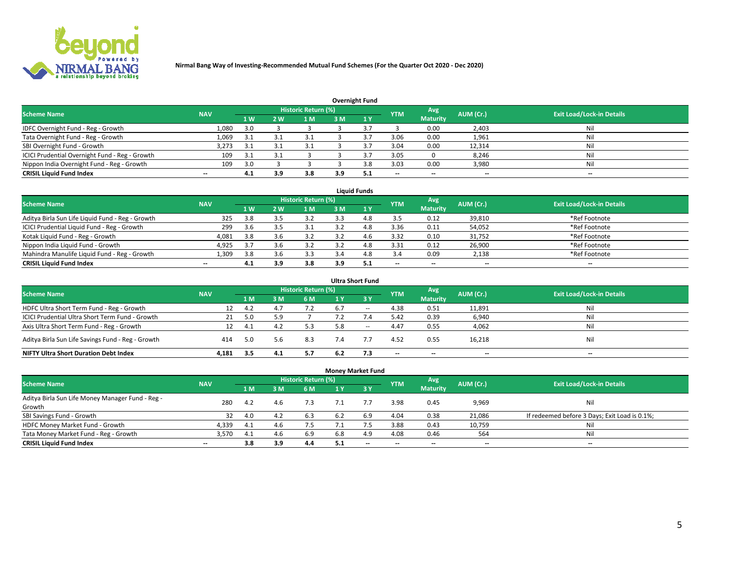

|                                                |            |     |     |                            |     | <b>Overnight Fund</b> |            |                 |           |                                  |
|------------------------------------------------|------------|-----|-----|----------------------------|-----|-----------------------|------------|-----------------|-----------|----------------------------------|
| <b>Scheme Name</b>                             | <b>NAV</b> |     |     | <b>Historic Return (%)</b> |     |                       | <b>YTM</b> | Avg             | AUM (Cr.) | <b>Exit Load/Lock-in Details</b> |
|                                                |            | 1 W | 2 W | 1 M                        | 3M  |                       |            | <b>Maturity</b> |           |                                  |
| IDFC Overnight Fund - Reg - Growth             | 1,080      | 3.0 |     |                            |     |                       |            | 0.00            | 2,403     | Nil                              |
| Tata Overnight Fund - Reg - Growth             | 1,069      | 3.1 |     | 3.1                        |     |                       | 3.06       | 0.00            | 1,961     | Nil                              |
| SBI Overnight Fund - Growth                    | 3,273      | 3.1 |     | 3.1                        |     |                       | 3.04       | 0.00            | 12,314    | Nil                              |
| ICICI Prudential Overnight Fund - Reg - Growth | 109        | 3.1 |     |                            |     |                       | 3.05       |                 | 8,246     | Nil                              |
| Nippon India Overnight Fund - Reg - Growth     | 109        | 3.0 |     |                            |     | 3 R                   | 3.03       | 0.00            | 3,980     | Nil                              |
| <b>CRISIL Liquid Fund Index</b>                | $-$        | 4.1 | 3.9 | 3.8                        | 3.9 |                       | $-$        | $- -$           | $- -$     | $- -$                            |

|                                                  |                          |                |     |                            |     | <b>Liquid Funds</b> |            |                          |                          |                                  |
|--------------------------------------------------|--------------------------|----------------|-----|----------------------------|-----|---------------------|------------|--------------------------|--------------------------|----------------------------------|
| <b>Scheme Name</b>                               | <b>NAV</b>               |                |     | <b>Historic Return (%)</b> |     |                     | <b>YTM</b> | Avg                      | AUM (Cr.)                | <b>Exit Load/Lock-in Details</b> |
|                                                  |                          | 1 <sub>W</sub> | 2W  | 1 M                        | 3 M | $\sqrt{1}$ Y        |            | <b>Maturity</b>          |                          |                                  |
| Aditya Birla Sun Life Liquid Fund - Reg - Growth | 325                      | 3.8            |     |                            |     | 4.8                 | 3.5        | 0.12                     | 39,810                   | *Ref Footnote                    |
| ICICI Prudential Liquid Fund - Reg - Growth      | 299                      | 3.6            |     | 3.1                        |     | 4.8                 | 3.36       | 0.11                     | 54,052                   | *Ref Footnote                    |
| Kotak Liquid Fund - Reg - Growth                 | 4,081                    | 3.8            | 3.6 |                            |     | 4.6                 | 3.32       | 0.10                     | 31,752                   | *Ref Footnote                    |
| Nippon India Liquid Fund - Growth                | 4,925                    | 3.7            | 3.6 |                            |     | 4.8                 | 3.31       | 0.12                     | 26,900                   | *Ref Footnote                    |
| Mahindra Manulife Liquid Fund - Reg - Growth     | 1.309                    | 3.8            | 3.6 | 3.3                        | 3.4 | 4.8                 | 3.4        | 0.09                     | 2,138                    | *Ref Footnote                    |
| <b>CRISIL Liquid Fund Index</b>                  | $\overline{\phantom{a}}$ | 4.1            | 3.9 | 3.8                        | 3.9 | 5.1                 | --         | $\overline{\phantom{a}}$ | $\overline{\phantom{a}}$ | $-$                              |

|                                                   |            |     |     |                            |     | <b>Ultra Short Fund</b>       |            |                          |           |                                  |
|---------------------------------------------------|------------|-----|-----|----------------------------|-----|-------------------------------|------------|--------------------------|-----------|----------------------------------|
| <b>Scheme Name</b>                                | <b>NAV</b> |     |     | <b>Historic Return (%)</b> |     |                               | <b>YTM</b> | Avg                      | AUM (Cr.) | <b>Exit Load/Lock-in Details</b> |
|                                                   |            | 1 M | 3 M | 6 M                        | 1 Y | $\overline{3}$ $\overline{Y}$ |            | <b>Maturity</b>          |           |                                  |
| HDFC Ultra Short Term Fund - Reg - Growth         | 12         | 4.2 | 4.7 | 7.2                        | 6.7 | $\sim$                        | 4.38       | 0.51                     | 11,891    | Nil                              |
| ICICI Prudential Ultra Short Term Fund - Growth   | 21         | 5.0 |     |                            |     |                               | 5.42       | 0.39                     | 6,940     | Nil                              |
| Axis Ultra Short Term Fund - Reg - Growth         |            | 4.1 | 4.2 | 5.3                        | 5.8 | $- -$                         | 4.47       | 0.55                     | 4,062     | Nil                              |
| Aditya Birla Sun Life Savings Fund - Reg - Growth | 414        | 5.0 | 5.6 | 8.3                        | 7.4 |                               | 4.52       | 0.55                     | 16,218    | Nil                              |
| <b>NIFTY Ultra Short Duration Debt Index</b>      | 4.181      | 3.5 | 4.1 | 5.7                        | 6.2 | 7.3                           | --         | $\overline{\phantom{a}}$ | --        | $\overline{\phantom{a}}$         |

|                                                  |            |     |           |                            | <b>Money Market Fund</b> |      |                          |                 |           |                                               |
|--------------------------------------------------|------------|-----|-----------|----------------------------|--------------------------|------|--------------------------|-----------------|-----------|-----------------------------------------------|
| <b>Scheme Name</b>                               | <b>NAV</b> |     |           | <b>Historic Return (%)</b> |                          |      | <b>YTM</b>               | Avg             | AUM (Cr.) | <b>Exit Load/Lock-in Details</b>              |
|                                                  |            | 1 M | <b>RM</b> | 6 M                        | 1 Y                      | -3 Y |                          | <b>Maturity</b> |           |                                               |
| Aditya Birla Sun Life Money Manager Fund - Reg - | 280        | 4.2 | 4.6       | 7.3                        |                          |      | 3.98                     | 0.45            | 9,969     | Nil                                           |
| Growth                                           |            |     |           |                            |                          |      |                          |                 |           |                                               |
| SBI Savings Fund - Growth                        | 32         | 4.0 | 4.2       | 6.3                        | 6.2                      | 6.9  | 4.04                     | 0.38            | 21,086    | If redeemed before 3 Days; Exit Load is 0.1%; |
| HDFC Money Market Fund - Growth                  | 4,339      | 4.1 | 4.6       | 7.5                        |                          |      | 3.88                     | 0.43            | 10,759    | Nil                                           |
| Tata Money Market Fund - Reg - Growth            | 3,570      | 4.1 | 4.6       | 6.9                        | 6.8                      | 4.9  | 4.08                     | 0.46            | 564       | Nil                                           |
| <b>CRISIL Liquid Fund Index</b>                  | $- -$      | 3.8 | 3.9       | 4.4                        | 5.1                      | $-$  | $\overline{\phantom{a}}$ | $- -$           | $- -$     | $-$                                           |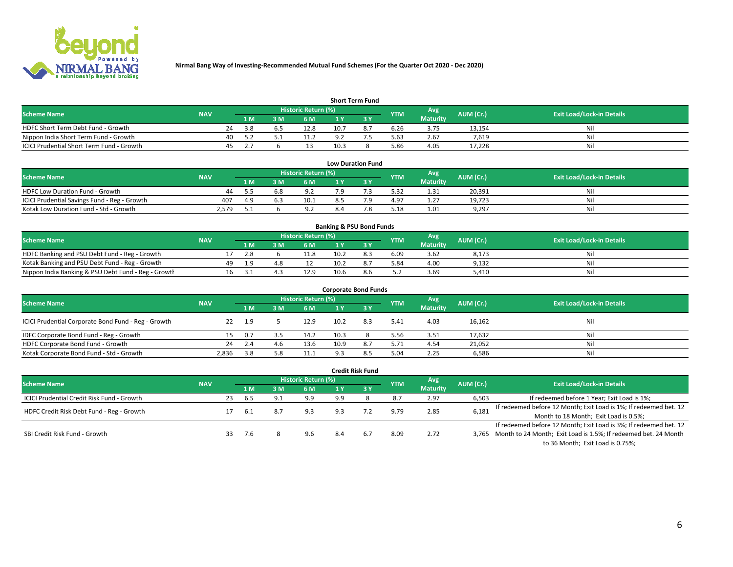

| <b>Short Term Fund</b>                    |            |     |      |     |                            |      |  |            |                 |           |                                  |  |  |  |
|-------------------------------------------|------------|-----|------|-----|----------------------------|------|--|------------|-----------------|-----------|----------------------------------|--|--|--|
| <b>Scheme Name</b>                        | <b>NAV</b> |     |      |     | <b>Historic Return (%)</b> |      |  | <b>YTM</b> | Avg             | AUM (Cr.) | <b>Exit Load/Lock-in Details</b> |  |  |  |
|                                           |            |     | 1 M. | 3 M | 6 M                        | 1 V  |  |            | <b>Maturity</b> |           |                                  |  |  |  |
| HDFC Short Term Debt Fund - Growth        |            | 24  | 3.8  | b.5 | 12.8                       | 10.7 |  | 6.26       | 3.75            | 13,154    | Nil                              |  |  |  |
| Nippon India Short Term Fund - Growth     |            | 40  |      |     | 11.2                       |      |  | 5.63       | 2.67            | 7.619     | Nil                              |  |  |  |
| ICICI Prudential Short Term Fund - Growth |            | 45. |      |     |                            | 10.3 |  | 5.86       | 4.05            | 17.228    | Nil                              |  |  |  |

| <b>Low Duration Fund</b>                     |            |     |  |                                  |     |  |            |                 |           |                                  |  |  |  |  |
|----------------------------------------------|------------|-----|--|----------------------------------|-----|--|------------|-----------------|-----------|----------------------------------|--|--|--|--|
| <b>Scheme Name</b>                           | <b>NAV</b> |     |  | Historic Return (%) <sup> </sup> |     |  | <b>YTM</b> | Avg             | AUM (Cr.) | <b>Exit Load/Lock-in Details</b> |  |  |  |  |
|                                              |            | 1 M |  | <b>6M</b>                        |     |  |            | <b>Maturity</b> |           |                                  |  |  |  |  |
| HDFC Low Duration Fund - Growth              | 44         | -5  |  | د ۵                              | ہ 7 |  | 5.32       | 1.31            | 20.391    | Nil                              |  |  |  |  |
| ICICI Prudential Savings Fund - Reg - Growth | 407        | 4.9 |  | 10.1                             |     |  | 4.97       | 1.27            | 19,723    | Nil                              |  |  |  |  |
| Kotak Low Duration Fund - Std - Growth       | 2,579      |     |  | 9.2                              | 8.4 |  | 5.18       | 1.01            | 9,297     | Nil                              |  |  |  |  |

| <b>Banking &amp; PSU Bond Funds</b>                 |            |    |     |  |                     |      |     |            |                 |           |                                  |  |  |  |
|-----------------------------------------------------|------------|----|-----|--|---------------------|------|-----|------------|-----------------|-----------|----------------------------------|--|--|--|
| <b>Scheme Name</b>                                  | <b>NAV</b> |    |     |  | Historic Return (%) |      |     | <b>YTM</b> | Avg             | AUM (Cr.) | <b>Exit Load/Lock-in Details</b> |  |  |  |
|                                                     |            |    | 1 M |  | 6 M                 |      |     |            | <b>Maturity</b> |           |                                  |  |  |  |
| HDFC Banking and PSU Debt Fund - Reg - Growth       |            |    |     |  | 11.8                | 10.2 |     | 6.09       | 3.62            | 8,173     | Nil                              |  |  |  |
| Kotak Banking and PSU Debt Fund - Reg - Growth      |            | 49 |     |  |                     | 10.2 |     | 5.84       | 4.00            | 9,132     | Nil                              |  |  |  |
| Nippon India Banking & PSU Debt Fund - Reg - Growth |            | 16 |     |  | 12.9                | 10.6 | 8.6 | 5.2        | 3.69            | 5.410     | Nil                              |  |  |  |

| <b>Corporate Bond Funds</b>                         |            |     |     |                     |      |     |            |                        |           |                                  |  |
|-----------------------------------------------------|------------|-----|-----|---------------------|------|-----|------------|------------------------|-----------|----------------------------------|--|
| <b>Scheme Name</b>                                  | <b>NAV</b> |     |     | Historic Return (%) |      |     | <b>YTM</b> | Avg<br><b>Maturity</b> | AUM (Cr.) | <b>Exit Load/Lock-in Details</b> |  |
|                                                     |            | 1 M | l M | 6 M                 | 1 Y  |     |            |                        |           |                                  |  |
| ICICI Prudential Corporate Bond Fund - Reg - Growth | 22         | 1.9 |     | 12.9                | 10.2 | 8.3 | 5.41       | 4.03                   | 16,162    | Nil                              |  |
| IDFC Corporate Bond Fund - Reg - Growth             |            | 0.7 | 3.5 | 14.2                | 10.3 |     | 5.56       | 3.51                   | 17,632    | Nil                              |  |
| HDFC Corporate Bond Fund - Growth                   | 24         | 2.4 | 4.6 | 13.6                | 10.9 | 8.7 | 5.71       | 4.54                   | 21,052    | Nil                              |  |
| Kotak Corporate Bond Fund - Std - Growth            | 2.836      | 3.8 |     | 11.1                | ۵э   | 8.5 | 5.04       | 2.25                   | 6,586     | Nil                              |  |

| <b>Credit Risk Fund</b>                    |            |    |     |                |                     |     |       |            |                 |           |                                                                       |
|--------------------------------------------|------------|----|-----|----------------|---------------------|-----|-------|------------|-----------------|-----------|-----------------------------------------------------------------------|
| <b>Scheme Name</b>                         | <b>NAV</b> |    |     |                | Historic Return (%) |     |       | <b>YTM</b> | Avg             | AUM (Cr.) | <b>Exit Load/Lock-in Details</b>                                      |
|                                            |            |    | 1 M | 3 M            | 6 M                 |     | $-3V$ |            | <b>Maturity</b> |           |                                                                       |
| ICICI Prudential Credit Risk Fund - Growth |            | 23 | 6.5 | Q <sub>1</sub> | 9.9                 | 9.9 |       | 8.7        | 2.97            | 6,503     | If redeemed before 1 Year; Exit Load is 1%;                           |
| HDFC Credit Risk Debt Fund - Reg - Growth  |            |    | 6.1 |                | 9.3                 | 9.3 |       | 9.79       | 2.85            | 6,181     | If redeemed before 12 Month; Exit Load is 1%; If redeemed bet. 12     |
|                                            |            |    |     |                |                     |     |       |            |                 |           | Month to 18 Month; Exit Load is 0.5%;                                 |
| SBI Credit Risk Fund - Growth              |            |    |     |                |                     |     |       |            |                 |           | If redeemed before 12 Month; Exit Load is 3%; If redeemed bet. 12     |
|                                            |            | 33 | 7.6 |                | 9.6                 | 8.4 | 6.7   | 8.09       | 2.72            |           | 3,765 Month to 24 Month; Exit Load is 1.5%; If redeemed bet. 24 Month |
|                                            |            |    |     |                |                     |     |       |            |                 |           | to 36 Month; Exit Load is 0.75%;                                      |